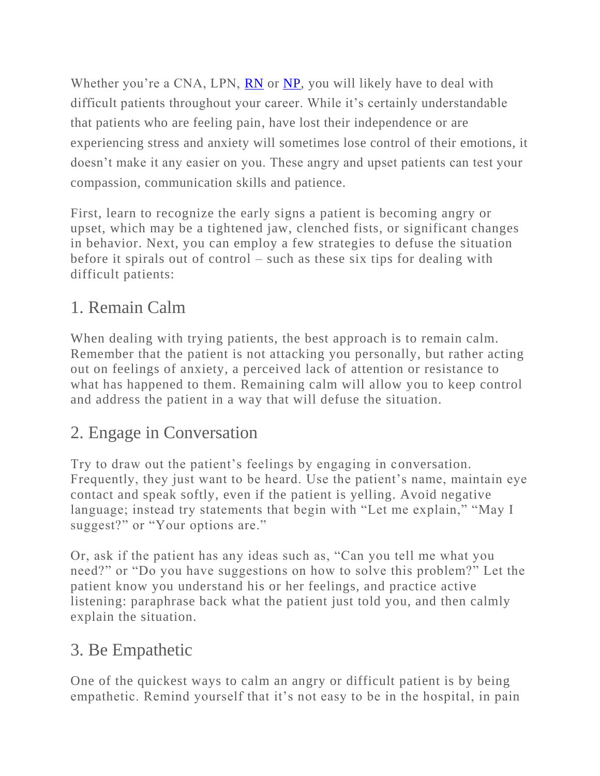Whether you're a CNA, LPN, [RN](https://www.jacksonvilleu.com/blog/nursing/how-to-become-a-registered-nurse/) or [NP,](https://www.jacksonvilleu.com/blog/nursing/how-to-become-a-nurse-practitioner/) you will likely have to deal with difficult patients throughout your career. While it's certainly understandable that patients who are feeling pain, have lost their independence or are experiencing stress and anxiety will sometimes lose control of their emotions, it doesn't make it any easier on you. These angry and upset patients can test your compassion, communication skills and patience.

First, learn to recognize the early signs a patient is becoming angry or upset, which may be a tightened jaw, clenched fists, or significant changes in behavior. Next, you can employ a few strategies to defuse the situation before it spirals out of control – such as these six tips for dealing with difficult patients:

#### 1. Remain Calm

When dealing with trying patients, the best approach is to remain calm. Remember that the patient is not attacking you personally, but rather acting out on feelings of anxiety, a perceived lack of attention or resistance to what has happened to them. Remaining calm will allow you to keep control and address the patient in a way that will defuse the situation.

## 2. Engage in Conversation

Try to draw out the patient's feelings by engaging in conversation. Frequently, they just want to be heard. Use the patient's name, maintain eye contact and speak softly, even if the patient is yelling. Avoid negative language; instead try statements that begin with "Let me explain," "May I suggest?" or "Your options are."

Or, ask if the patient has any ideas such as, "Can you tell me what you need?" or "Do you have suggestions on how to solve this problem?" Let the patient know you understand his or her feelings, and practice active listening: paraphrase back what the patient just told you, and then calmly explain the situation.

## 3. Be Empathetic

One of the quickest ways to calm an angry or difficult patient is by being empathetic. Remind yourself that it's not easy to be in the hospital, in pain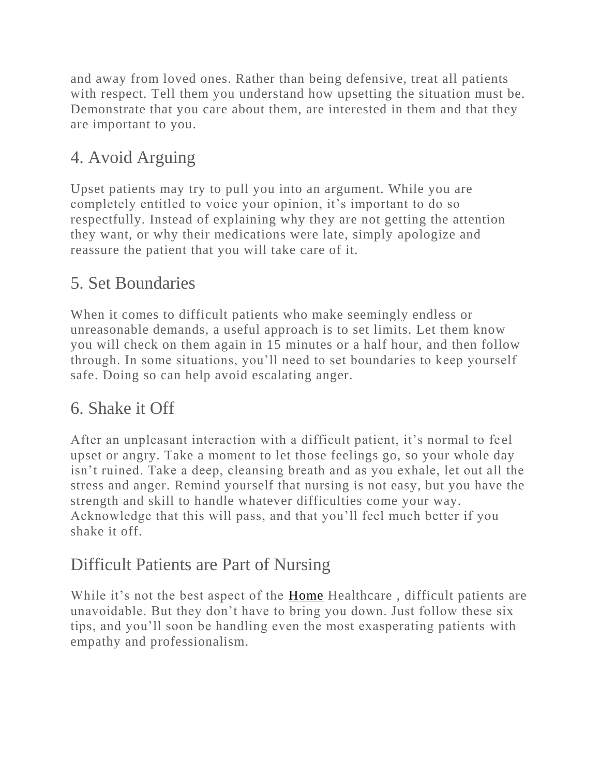and away from loved ones. Rather than being defensive, treat all patients with respect. Tell them you understand how upsetting the situation must be. Demonstrate that you care about them, are interested in them and that they are important to you.

## 4. Avoid Arguing

Upset patients may try to pull you into an argument. While you are completely entitled to voice your opinion, it's important to do so respectfully. Instead of explaining why they are not getting the attention they want, or why their medications were late, simply apologize and reassure the patient that you will take care of it.

## 5. Set Boundaries

When it comes to difficult patients who make seemingly endless or unreasonable demands, a useful approach is to set limits. Let them know you will check on them again in 15 minutes or a half hour, and then follow through. In some situations, you'll need to set boundaries to keep yourself safe. Doing so can help avoid escalating anger.

## 6. Shake it Off

After an unpleasant interaction with a difficult patient, it's normal to fe el upset or angry. Take a moment to let those feelings go, so your whole day isn't ruined. Take a deep, cleansing breath and as you exhale, let out all the stress and anger. Remind yourself that nursing is not easy, but you have the strength and skill to handle whatever difficulties come your way. Acknowledge that this will pass, and that you'll feel much better if you shake it off.

## Difficult Patients are Part of Nursing

While it's not the best aspect of the [Home](https://www.jacksonvilleu.com/blog/nursing/nursing-profession-today/) Healthcare , difficult patients are unavoidable. But they don't have to bring you down. Just follow these six tips, and you'll soon be handling even the most exasperating patients with empathy and professionalism.